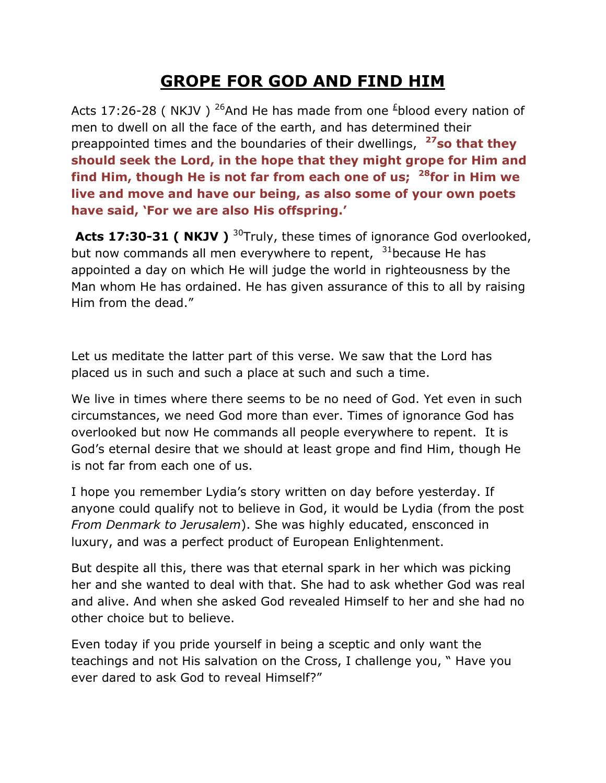## **GROPE FOR GOD AND FIND HIM**

Acts 17:26-28 ( NKJV ) <sup>26</sup>And He has made from one  $\frac{1}{2}$ blood every nation of men to dwell on all the face of the earth, and has determined their preappointed times and the boundaries of their dwellings, **<sup>27</sup>so that they should seek the Lord, in the hope that they might grope for Him and find Him, though He is not far from each one of us; <sup>28</sup>for in Him we live and move and have our being, as also some of your own poets have said, 'For we are also His offspring.'**

Acts 17:30-31 ( NKJV ) <sup>30</sup>Truly, these times of ignorance God overlooked, but now commands all men everywhere to repent,  $31$ because He has appointed a day on which He will judge the world in righteousness by the Man whom He has ordained. He has given assurance of this to all by raising Him from the dead."

Let us meditate the latter part of this verse. We saw that the Lord has placed us in such and such a place at such and such a time.

We live in times where there seems to be no need of God. Yet even in such circumstances, we need God more than ever. Times of ignorance God has overlooked but now He commands all people everywhere to repent. It is God's eternal desire that we should at least grope and find Him, though He is not far from each one of us.

I hope you remember Lydia's story written on day before yesterday. If anyone could qualify not to believe in God, it would be Lydia (from the post *From Denmark to Jerusalem*). She was highly educated, ensconced in luxury, and was a perfect product of European Enlightenment.

But despite all this, there was that eternal spark in her which was picking her and she wanted to deal with that. She had to ask whether God was real and alive. And when she asked God revealed Himself to her and she had no other choice but to believe.

Even today if you pride yourself in being a sceptic and only want the teachings and not His salvation on the Cross, I challenge you, " Have you ever dared to ask God to reveal Himself?"